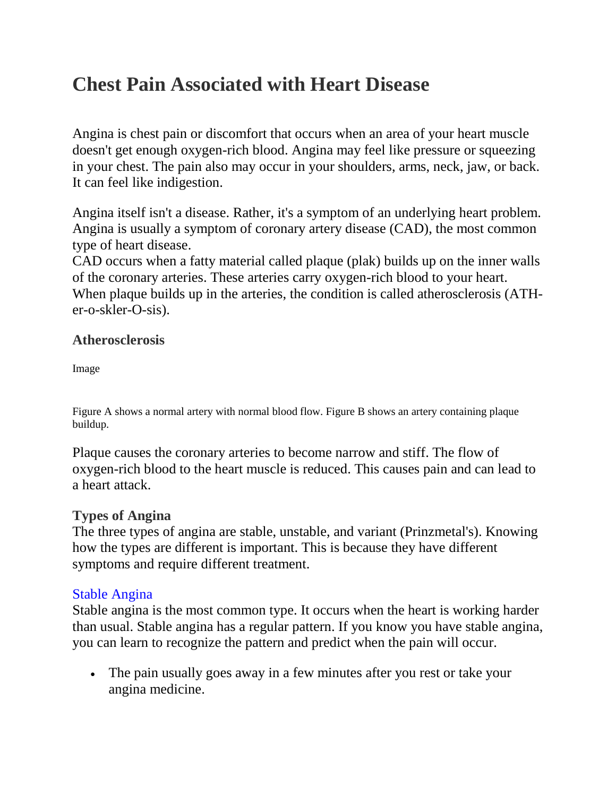# **Chest Pain Associated with Heart Disease**

Angina is chest pain or discomfort that occurs when an area of your heart muscle doesn't get enough oxygen-rich blood. Angina may feel like pressure or squeezing in your chest. The pain also may occur in your shoulders, arms, neck, jaw, or back. It can feel like indigestion.

Angina itself isn't a disease. Rather, it's a symptom of an underlying heart problem. Angina is usually a symptom of coronary artery disease (CAD), the most common type of heart disease.

CAD occurs when a fatty material called plaque (plak) builds up on the inner walls of the coronary arteries. These arteries carry oxygen-rich blood to your heart. When plaque builds up in the arteries, the condition is called atherosclerosis (ATHer-o-skler-O-sis).

#### **Atherosclerosis**

Image

Figure A shows a normal artery with normal blood flow. Figure B shows an artery containing plaque buildup.

Plaque causes the coronary arteries to become narrow and stiff. The flow of oxygen-rich blood to the heart muscle is reduced. This causes pain and can lead to a heart attack.

#### **Types of Angina**

The three types of angina are stable, unstable, and variant (Prinzmetal's). Knowing how the types are different is important. This is because they have different symptoms and require different treatment.

#### Stable Angina

Stable angina is the most common type. It occurs when the heart is working harder than usual. Stable angina has a regular pattern. If you know you have stable angina, you can learn to recognize the pattern and predict when the pain will occur.

• The pain usually goes away in a few minutes after you rest or take your angina medicine.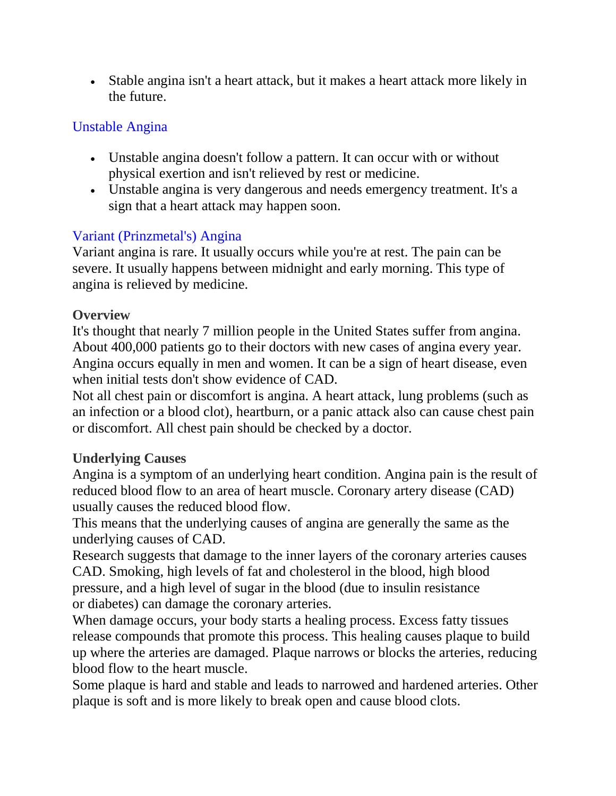• Stable angina isn't a heart attack, but it makes a heart attack more likely in the future.

# Unstable Angina

- Unstable angina doesn't follow a pattern. It can occur with or without physical exertion and isn't relieved by rest or medicine.
- Unstable angina is very dangerous and needs emergency treatment. It's a sign that a heart attack may happen soon.

# Variant (Prinzmetal's) Angina

Variant angina is rare. It usually occurs while you're at rest. The pain can be severe. It usually happens between midnight and early morning. This type of angina is relieved by medicine.

# **Overview**

It's thought that nearly 7 million people in the United States suffer from angina. About 400,000 patients go to their doctors with new cases of angina every year. Angina occurs equally in men and women. It can be a sign of heart disease, even when initial tests don't show evidence of CAD.

Not all chest pain or discomfort is angina. A heart attack, lung problems (such as an infection or a blood clot), heartburn, or a panic attack also can cause chest pain or discomfort. All chest pain should be checked by a doctor.

# **Underlying Causes**

Angina is a symptom of an underlying heart condition. Angina pain is the result of reduced blood flow to an area of heart muscle. Coronary artery disease (CAD) usually causes the reduced blood flow.

This means that the underlying causes of angina are generally the same as the underlying causes of CAD.

Research suggests that damage to the inner layers of the coronary arteries causes CAD. Smoking, high levels of fat and cholesterol in the blood, high blood pressure, and a high level of sugar in the blood (due to insulin resistance or diabetes) can damage the coronary arteries.

When damage occurs, your body starts a healing process. Excess fatty tissues release compounds that promote this process. This healing causes plaque to build up where the arteries are damaged. Plaque narrows or blocks the arteries, reducing blood flow to the heart muscle.

Some plaque is hard and stable and leads to narrowed and hardened arteries. Other plaque is soft and is more likely to break open and cause blood clots.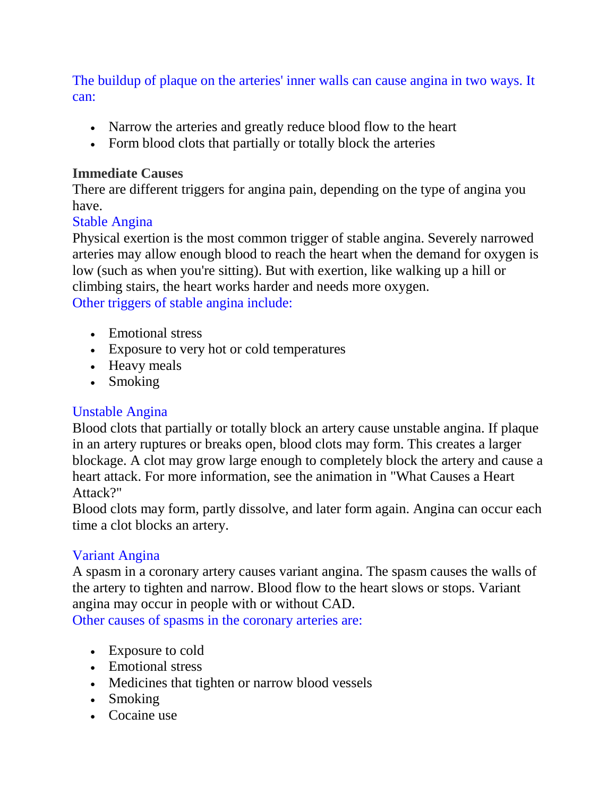The buildup of plaque on the arteries' inner walls can cause angina in two ways. It can:

- Narrow the arteries and greatly reduce blood flow to the heart
- Form blood clots that partially or totally block the arteries

#### **Immediate Causes**

There are different triggers for angina pain, depending on the type of angina you have.

#### Stable Angina

Physical exertion is the most common trigger of stable angina. Severely narrowed arteries may allow enough blood to reach the heart when the demand for oxygen is low (such as when you're sitting). But with exertion, like walking up a hill or climbing stairs, the heart works harder and needs more oxygen. Other triggers of stable angina include:

- Emotional stress
- Exposure to very hot or cold temperatures
- Heavy meals
- Smoking

#### Unstable Angina

Blood clots that partially or totally block an artery cause unstable angina. If plaque in an artery ruptures or breaks open, blood clots may form. This creates a larger blockage. A clot may grow large enough to completely block the artery and cause a heart attack. For more information, see the animation in "What Causes a Heart Attack?"

Blood clots may form, partly dissolve, and later form again. Angina can occur each time a clot blocks an artery.

#### Variant Angina

A spasm in a coronary artery causes variant angina. The spasm causes the walls of the artery to tighten and narrow. Blood flow to the heart slows or stops. Variant angina may occur in people with or without CAD.

Other causes of spasms in the coronary arteries are:

- Exposure to cold
- Emotional stress
- Medicines that tighten or narrow blood vessels
- Smoking
- Cocaine use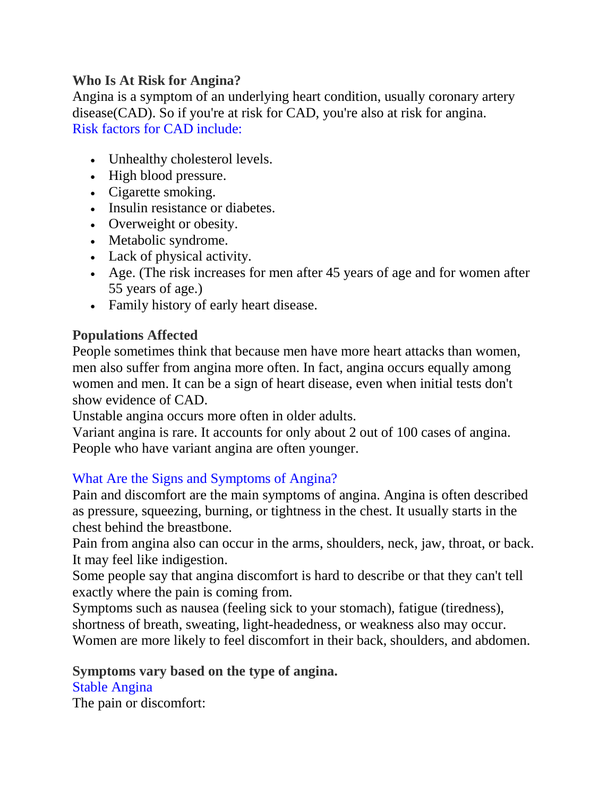#### **Who Is At Risk for Angina?**

Angina is a symptom of an underlying heart condition, usually coronary artery disease(CAD). So if you're at risk for CAD, you're also at risk for angina. Risk factors for CAD include:

- Unhealthy cholesterol levels.
- High blood pressure.
- Cigarette smoking.
- Insulin resistance or diabetes.
- Overweight or obesity.
- Metabolic syndrome.
- Lack of physical activity.
- Age. (The risk increases for men after 45 years of age and for women after 55 years of age.)
- Family history of early heart disease.

#### **Populations Affected**

People sometimes think that because men have more heart attacks than women, men also suffer from angina more often. In fact, angina occurs equally among women and men. It can be a sign of heart disease, even when initial tests don't show evidence of CAD.

Unstable angina occurs more often in older adults.

Variant angina is rare. It accounts for only about 2 out of 100 cases of angina. People who have variant angina are often younger.

#### What Are the Signs and Symptoms of Angina?

Pain and discomfort are the main symptoms of angina. Angina is often described as pressure, squeezing, burning, or tightness in the chest. It usually starts in the chest behind the breastbone.

Pain from angina also can occur in the arms, shoulders, neck, jaw, throat, or back. It may feel like indigestion.

Some people say that angina discomfort is hard to describe or that they can't tell exactly where the pain is coming from.

Symptoms such as nausea (feeling sick to your stomach), fatigue (tiredness), shortness of breath, sweating, light-headedness, or weakness also may occur. Women are more likely to feel discomfort in their back, shoulders, and abdomen.

#### **Symptoms vary based on the type of angina.**

Stable Angina

The pain or discomfort: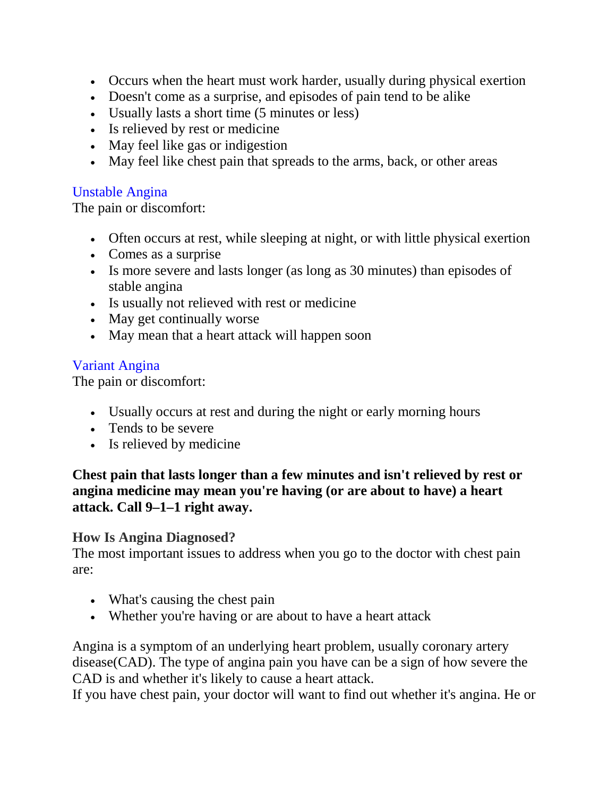- Occurs when the heart must work harder, usually during physical exertion
- Doesn't come as a surprise, and episodes of pain tend to be alike
- Usually lasts a short time (5 minutes or less)
- Is relieved by rest or medicine
- May feel like gas or indigestion
- May feel like chest pain that spreads to the arms, back, or other areas

#### Unstable Angina

The pain or discomfort:

- Often occurs at rest, while sleeping at night, or with little physical exertion
- Comes as a surprise
- Is more severe and lasts longer (as long as 30 minutes) than episodes of stable angina
- Is usually not relieved with rest or medicine
- May get continually worse
- May mean that a heart attack will happen soon

#### Variant Angina

The pain or discomfort:

- Usually occurs at rest and during the night or early morning hours
- Tends to be severe
- Is relieved by medicine

**Chest pain that lasts longer than a few minutes and isn't relieved by rest or angina medicine may mean you're having (or are about to have) a heart attack. Call 9–1–1 right away.**

#### **How Is Angina Diagnosed?**

The most important issues to address when you go to the doctor with chest pain are:

- What's causing the chest pain
- Whether you're having or are about to have a heart attack

Angina is a symptom of an underlying heart problem, usually coronary artery disease(CAD). The type of angina pain you have can be a sign of how severe the CAD is and whether it's likely to cause a heart attack.

If you have chest pain, your doctor will want to find out whether it's angina. He or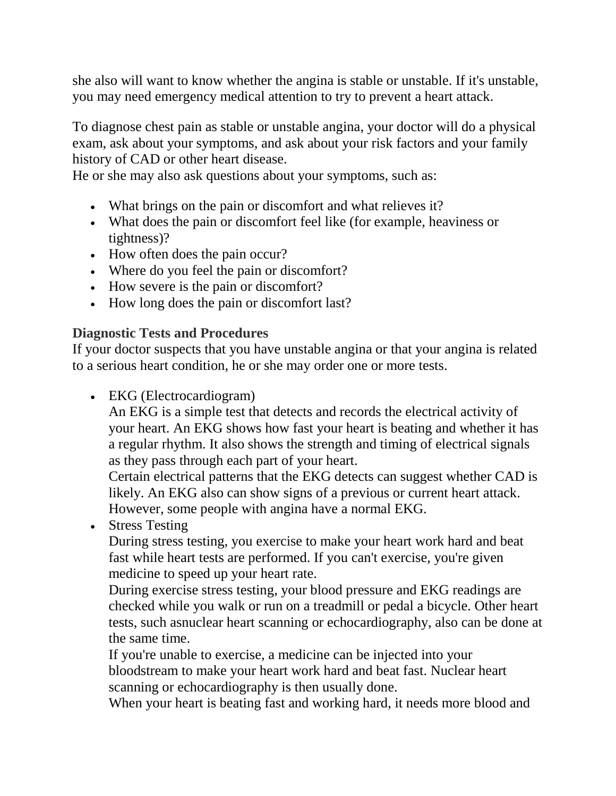she also will want to know whether the angina is stable or unstable. If it's unstable, you may need emergency medical attention to try to prevent a heart attack.

To diagnose chest pain as stable or unstable angina, your doctor will do a physical exam, ask about your symptoms, and ask about your risk factors and your family history of CAD or other heart disease.

He or she may also ask questions about your symptoms, such as:

- What brings on the pain or discomfort and what relieves it?
- What does the pain or discomfort feel like (for example, heaviness or tightness)?
- How often does the pain occur?
- Where do you feel the pain or discomfort?
- How severe is the pain or discomfort?
- How long does the pain or discomfort last?

#### **Diagnostic Tests and Procedures**

If your doctor suspects that you have unstable angina or that your angina is related to a serious heart condition, he or she may order one or more tests.

• EKG (Electrocardiogram)

An EKG is a simple test that detects and records the electrical activity of your heart. An EKG shows how fast your heart is beating and whether it has a regular rhythm. It also shows the strength and timing of electrical signals as they pass through each part of your heart.

Certain electrical patterns that the EKG detects can suggest whether CAD is likely. An EKG also can show signs of a previous or current heart attack. However, some people with angina have a normal EKG.

• Stress Testing

During stress testing, you exercise to make your heart work hard and beat fast while heart tests are performed. If you can't exercise, you're given medicine to speed up your heart rate.

During exercise stress testing, your blood pressure and EKG readings are checked while you walk or run on a treadmill or pedal a bicycle. Other heart tests, such asnuclear heart scanning or echocardiography, also can be done at the same time.

If you're unable to exercise, a medicine can be injected into your bloodstream to make your heart work hard and beat fast. Nuclear heart scanning or echocardiography is then usually done.

When your heart is beating fast and working hard, it needs more blood and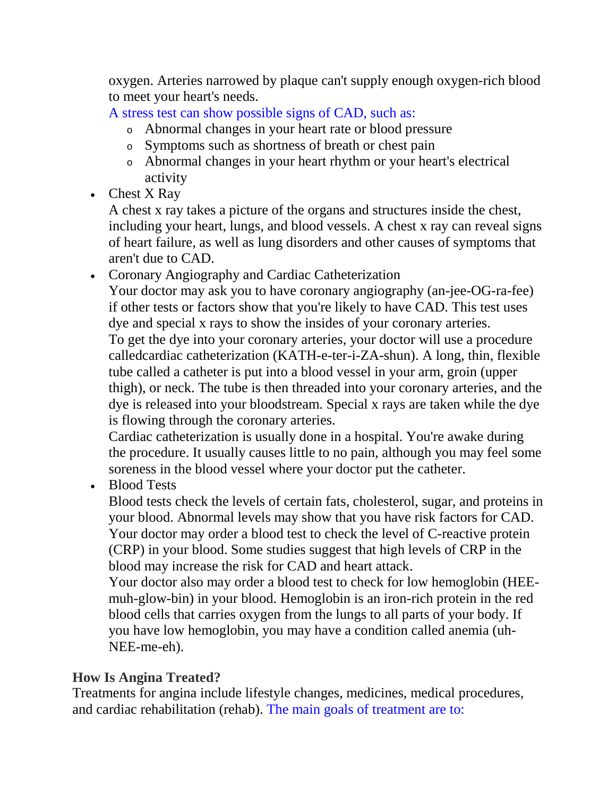oxygen. Arteries narrowed by plaque can't supply enough oxygen-rich blood to meet your heart's needs.

A stress test can show possible signs of CAD, such as:

- <sup>o</sup> Abnormal changes in your heart rate or blood pressure
- <sup>o</sup> Symptoms such as shortness of breath or chest pain
- <sup>o</sup> Abnormal changes in your heart rhythm or your heart's electrical activity
- Chest X Ray

A chest x ray takes a picture of the organs and structures inside the chest, including your heart, lungs, and blood vessels. A chest x ray can reveal signs of heart failure, as well as lung disorders and other causes of symptoms that aren't due to CAD.

• Coronary Angiography and Cardiac Catheterization Your doctor may ask you to have coronary angiography (an-jee-OG-ra-fee) if other tests or factors show that you're likely to have CAD. This test uses dye and special x rays to show the insides of your coronary arteries. To get the dye into your coronary arteries, your doctor will use a procedure calledcardiac catheterization (KATH-e-ter-i-ZA-shun). A long, thin, flexible tube called a catheter is put into a blood vessel in your arm, groin (upper thigh), or neck. The tube is then threaded into your coronary arteries, and the dye is released into your bloodstream. Special x rays are taken while the dye is flowing through the coronary arteries.

Cardiac catheterization is usually done in a hospital. You're awake during the procedure. It usually causes little to no pain, although you may feel some soreness in the blood vessel where your doctor put the catheter.

• Blood Tests

Blood tests check the levels of certain fats, cholesterol, sugar, and proteins in your blood. Abnormal levels may show that you have risk factors for CAD. Your doctor may order a blood test to check the level of C-reactive protein (CRP) in your blood. Some studies suggest that high levels of CRP in the blood may increase the risk for CAD and heart attack.

Your doctor also may order a blood test to check for low hemoglobin (HEEmuh-glow-bin) in your blood. Hemoglobin is an iron-rich protein in the red blood cells that carries oxygen from the lungs to all parts of your body. If you have low hemoglobin, you may have a condition called anemia (uh-NEE-me-eh).

# **How Is Angina Treated?**

Treatments for angina include lifestyle changes, medicines, medical procedures, and cardiac rehabilitation (rehab). The main goals of treatment are to: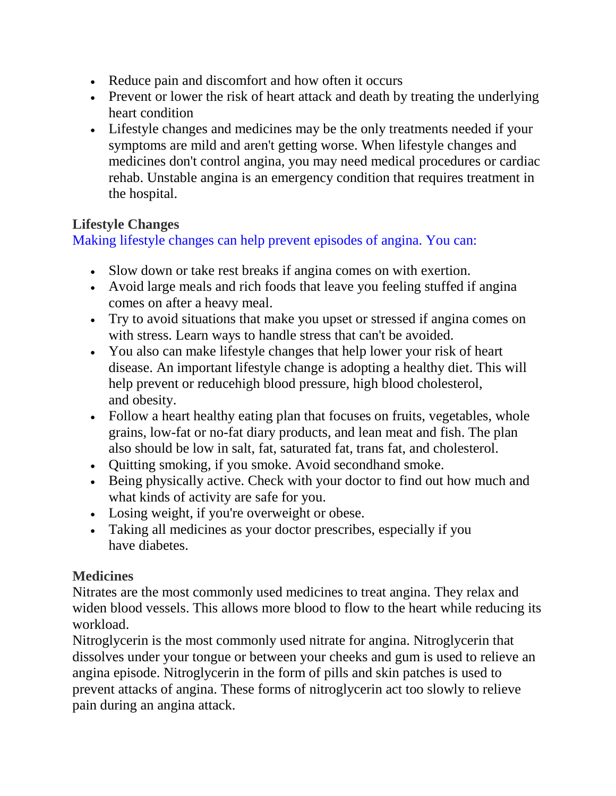- Reduce pain and discomfort and how often it occurs
- Prevent or lower the risk of heart attack and death by treating the underlying heart condition
- Lifestyle changes and medicines may be the only treatments needed if your symptoms are mild and aren't getting worse. When lifestyle changes and medicines don't control angina, you may need medical procedures or cardiac rehab. Unstable angina is an emergency condition that requires treatment in the hospital.

## **Lifestyle Changes**

Making lifestyle changes can help prevent episodes of angina. You can:

- Slow down or take rest breaks if angina comes on with exertion.
- Avoid large meals and rich foods that leave you feeling stuffed if angina comes on after a heavy meal.
- Try to avoid situations that make you upset or stressed if angina comes on with stress. Learn ways to handle stress that can't be avoided.
- You also can make lifestyle changes that help lower your risk of heart disease. An important lifestyle change is adopting a healthy diet. This will help prevent or reducehigh blood pressure, high blood cholesterol, and obesity.
- Follow a heart healthy eating plan that focuses on fruits, vegetables, whole grains, low-fat or no-fat diary products, and lean meat and fish. The plan also should be low in salt, fat, saturated fat, trans fat, and cholesterol.
- Quitting smoking, if you smoke. Avoid secondhand smoke.
- Being physically active. Check with your doctor to find out how much and what kinds of activity are safe for you.
- Losing weight, if you're overweight or obese.
- Taking all medicines as your doctor prescribes, especially if you have diabetes.

# **Medicines**

Nitrates are the most commonly used medicines to treat angina. They relax and widen blood vessels. This allows more blood to flow to the heart while reducing its workload.

Nitroglycerin is the most commonly used nitrate for angina. Nitroglycerin that dissolves under your tongue or between your cheeks and gum is used to relieve an angina episode. Nitroglycerin in the form of pills and skin patches is used to prevent attacks of angina. These forms of nitroglycerin act too slowly to relieve pain during an angina attack.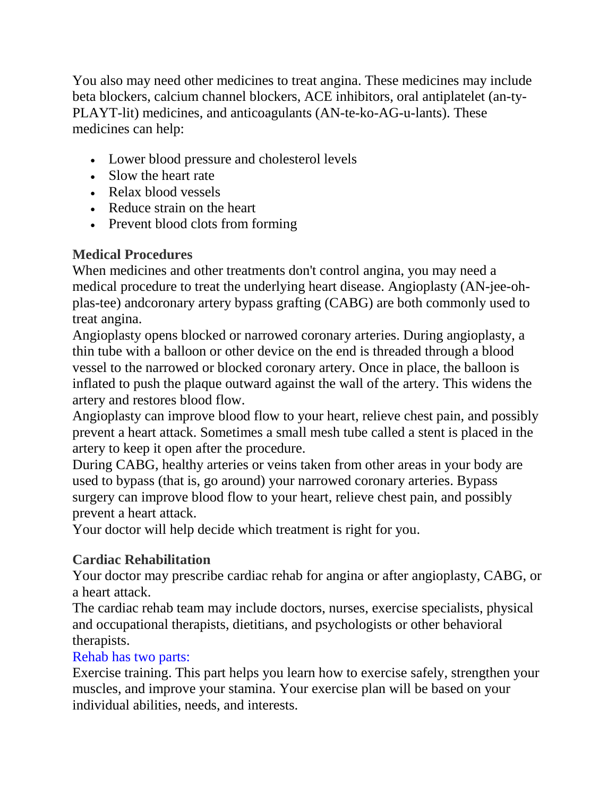You also may need other medicines to treat angina. These medicines may include beta blockers, calcium channel blockers, ACE inhibitors, oral antiplatelet (an-ty-PLAYT-lit) medicines, and anticoagulants (AN-te-ko-AG-u-lants). These medicines can help:

- Lower blood pressure and cholesterol levels
- Slow the heart rate
- Relax blood vessels
- Reduce strain on the heart
- Prevent blood clots from forming

# **Medical Procedures**

When medicines and other treatments don't control angina, you may need a medical procedure to treat the underlying heart disease. Angioplasty (AN-jee-ohplas-tee) andcoronary artery bypass grafting (CABG) are both commonly used to treat angina.

Angioplasty opens blocked or narrowed coronary arteries. During angioplasty, a thin tube with a balloon or other device on the end is threaded through a blood vessel to the narrowed or blocked coronary artery. Once in place, the balloon is inflated to push the plaque outward against the wall of the artery. This widens the artery and restores blood flow.

Angioplasty can improve blood flow to your heart, relieve chest pain, and possibly prevent a heart attack. Sometimes a small mesh tube called a stent is placed in the artery to keep it open after the procedure.

During CABG, healthy arteries or veins taken from other areas in your body are used to bypass (that is, go around) your narrowed coronary arteries. Bypass surgery can improve blood flow to your heart, relieve chest pain, and possibly prevent a heart attack.

Your doctor will help decide which treatment is right for you.

# **Cardiac Rehabilitation**

Your doctor may prescribe cardiac rehab for angina or after angioplasty, CABG, or a heart attack.

The cardiac rehab team may include doctors, nurses, exercise specialists, physical and occupational therapists, dietitians, and psychologists or other behavioral therapists.

# Rehab has two parts:

Exercise training. This part helps you learn how to exercise safely, strengthen your muscles, and improve your stamina. Your exercise plan will be based on your individual abilities, needs, and interests.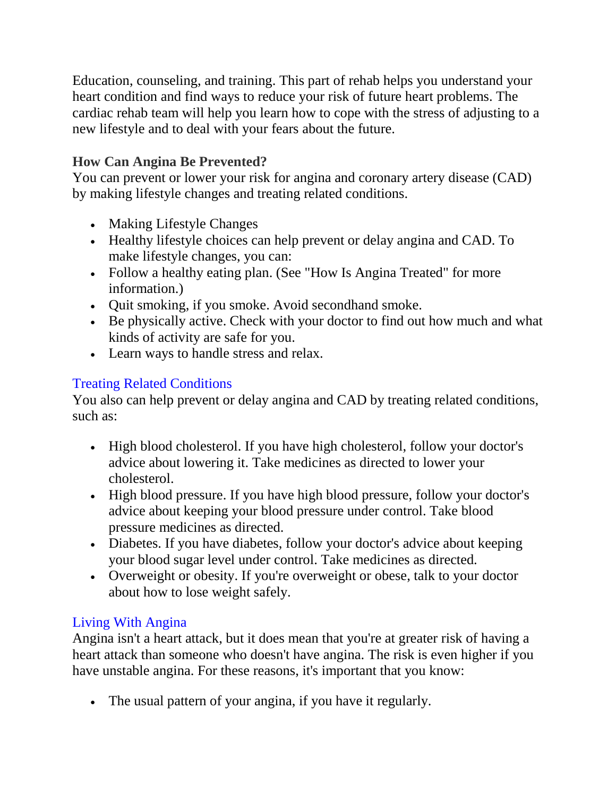Education, counseling, and training. This part of rehab helps you understand your heart condition and find ways to reduce your risk of future heart problems. The cardiac rehab team will help you learn how to cope with the stress of adjusting to a new lifestyle and to deal with your fears about the future.

# **How Can Angina Be Prevented?**

You can prevent or lower your risk for angina and coronary artery disease (CAD) by making lifestyle changes and treating related conditions.

- Making Lifestyle Changes
- Healthy lifestyle choices can help prevent or delay angina and CAD. To make lifestyle changes, you can:
- Follow a healthy eating plan. (See "How Is Angina Treated" for more information.)
- Quit smoking, if you smoke. Avoid secondhand smoke.
- Be physically active. Check with your doctor to find out how much and what kinds of activity are safe for you.
- Learn ways to handle stress and relax.

# Treating Related Conditions

You also can help prevent or delay angina and CAD by treating related conditions, such as:

- High blood cholesterol. If you have high cholesterol, follow your doctor's advice about lowering it. Take medicines as directed to lower your cholesterol.
- High blood pressure. If you have high blood pressure, follow your doctor's advice about keeping your blood pressure under control. Take blood pressure medicines as directed.
- Diabetes. If you have diabetes, follow your doctor's advice about keeping your blood sugar level under control. Take medicines as directed.
- Overweight or obesity. If you're overweight or obese, talk to your doctor about how to lose weight safely.

# Living With Angina

Angina isn't a heart attack, but it does mean that you're at greater risk of having a heart attack than someone who doesn't have angina. The risk is even higher if you have unstable angina. For these reasons, it's important that you know:

• The usual pattern of your angina, if you have it regularly.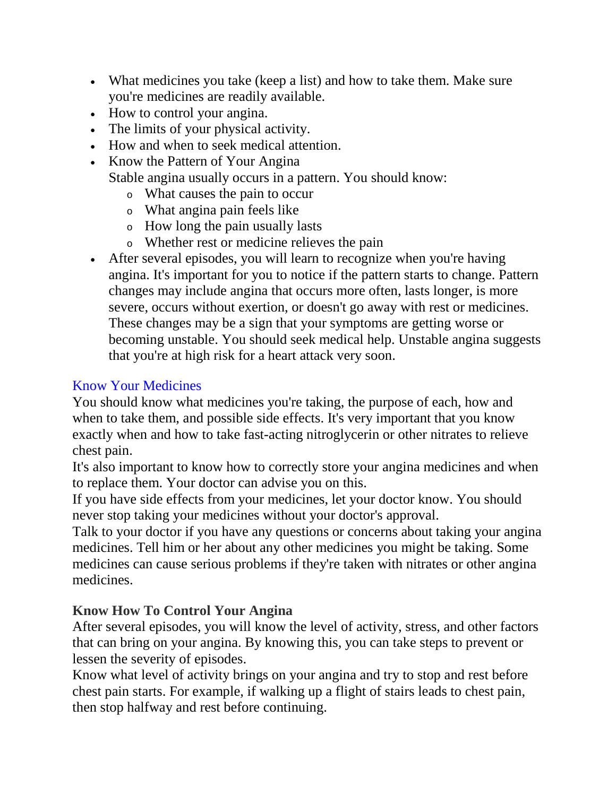- What medicines you take (keep a list) and how to take them. Make sure you're medicines are readily available.
- How to control your angina.
- The limits of your physical activity.
- How and when to seek medical attention.
- Know the Pattern of Your Angina

Stable angina usually occurs in a pattern. You should know:

- <sup>o</sup> What causes the pain to occur
- <sup>o</sup> What angina pain feels like
- <sup>o</sup> How long the pain usually lasts
- <sup>o</sup> Whether rest or medicine relieves the pain
- After several episodes, you will learn to recognize when you're having angina. It's important for you to notice if the pattern starts to change. Pattern changes may include angina that occurs more often, lasts longer, is more severe, occurs without exertion, or doesn't go away with rest or medicines. These changes may be a sign that your symptoms are getting worse or becoming unstable. You should seek medical help. Unstable angina suggests that you're at high risk for a heart attack very soon.

# Know Your Medicines

You should know what medicines you're taking, the purpose of each, how and when to take them, and possible side effects. It's very important that you know exactly when and how to take fast-acting nitroglycerin or other nitrates to relieve chest pain.

It's also important to know how to correctly store your angina medicines and when to replace them. Your doctor can advise you on this.

If you have side effects from your medicines, let your doctor know. You should never stop taking your medicines without your doctor's approval.

Talk to your doctor if you have any questions or concerns about taking your angina medicines. Tell him or her about any other medicines you might be taking. Some medicines can cause serious problems if they're taken with nitrates or other angina medicines.

# **Know How To Control Your Angina**

After several episodes, you will know the level of activity, stress, and other factors that can bring on your angina. By knowing this, you can take steps to prevent or lessen the severity of episodes.

Know what level of activity brings on your angina and try to stop and rest before chest pain starts. For example, if walking up a flight of stairs leads to chest pain, then stop halfway and rest before continuing.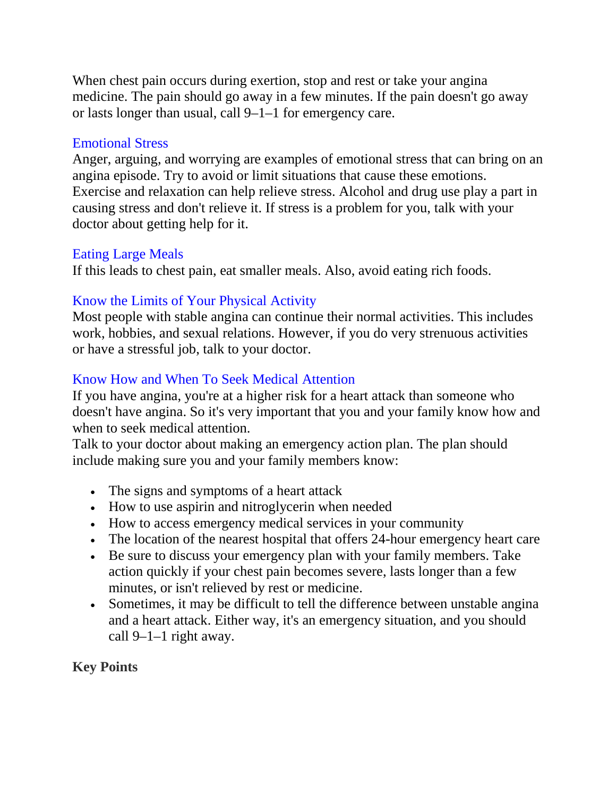When chest pain occurs during exertion, stop and rest or take your angina medicine. The pain should go away in a few minutes. If the pain doesn't go away or lasts longer than usual, call 9–1–1 for emergency care.

#### Emotional Stress

Anger, arguing, and worrying are examples of emotional stress that can bring on an angina episode. Try to avoid or limit situations that cause these emotions. Exercise and relaxation can help relieve stress. Alcohol and drug use play a part in causing stress and don't relieve it. If stress is a problem for you, talk with your doctor about getting help for it.

#### Eating Large Meals

If this leads to chest pain, eat smaller meals. Also, avoid eating rich foods.

## Know the Limits of Your Physical Activity

Most people with stable angina can continue their normal activities. This includes work, hobbies, and sexual relations. However, if you do very strenuous activities or have a stressful job, talk to your doctor.

## Know How and When To Seek Medical Attention

If you have angina, you're at a higher risk for a heart attack than someone who doesn't have angina. So it's very important that you and your family know how and when to seek medical attention.

Talk to your doctor about making an emergency action plan. The plan should include making sure you and your family members know:

- The signs and symptoms of a heart attack
- How to use aspirin and nitroglycerin when needed
- How to access emergency medical services in your community
- The location of the nearest hospital that offers 24-hour emergency heart care
- Be sure to discuss your emergency plan with your family members. Take action quickly if your chest pain becomes severe, lasts longer than a few minutes, or isn't relieved by rest or medicine.
- Sometimes, it may be difficult to tell the difference between unstable angina and a heart attack. Either way, it's an emergency situation, and you should call 9–1–1 right away.

#### **Key Points**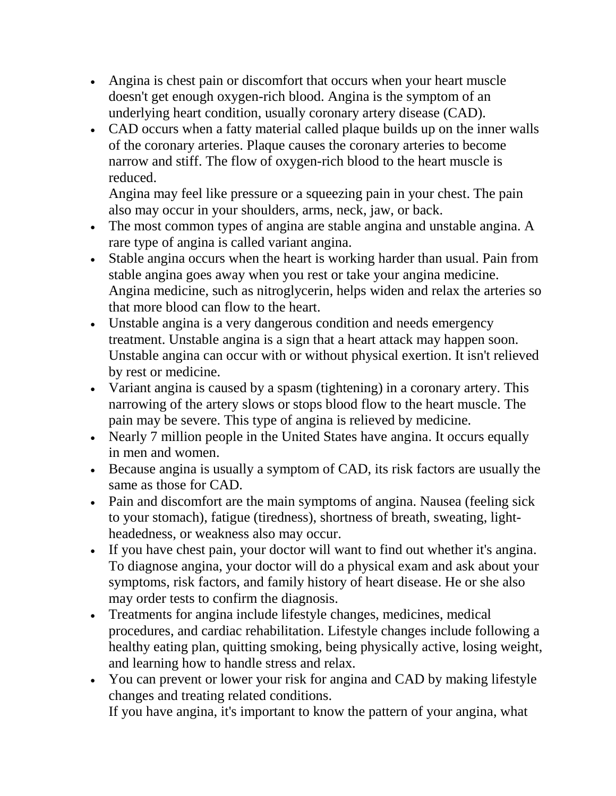- Angina is chest pain or discomfort that occurs when your heart muscle doesn't get enough oxygen-rich blood. Angina is the symptom of an underlying heart condition, usually coronary artery disease (CAD).
- CAD occurs when a fatty material called plaque builds up on the inner walls of the coronary arteries. Plaque causes the coronary arteries to become narrow and stiff. The flow of oxygen-rich blood to the heart muscle is reduced.

Angina may feel like pressure or a squeezing pain in your chest. The pain also may occur in your shoulders, arms, neck, jaw, or back.

- The most common types of angina are stable angina and unstable angina. A rare type of angina is called variant angina.
- Stable angina occurs when the heart is working harder than usual. Pain from stable angina goes away when you rest or take your angina medicine. Angina medicine, such as nitroglycerin, helps widen and relax the arteries so that more blood can flow to the heart.
- Unstable angina is a very dangerous condition and needs emergency treatment. Unstable angina is a sign that a heart attack may happen soon. Unstable angina can occur with or without physical exertion. It isn't relieved by rest or medicine.
- Variant angina is caused by a spasm (tightening) in a coronary artery. This narrowing of the artery slows or stops blood flow to the heart muscle. The pain may be severe. This type of angina is relieved by medicine.
- Nearly 7 million people in the United States have angina. It occurs equally in men and women.
- Because angina is usually a symptom of CAD, its risk factors are usually the same as those for CAD.
- Pain and discomfort are the main symptoms of angina. Nausea (feeling sick to your stomach), fatigue (tiredness), shortness of breath, sweating, lightheadedness, or weakness also may occur.
- If you have chest pain, your doctor will want to find out whether it's angina. To diagnose angina, your doctor will do a physical exam and ask about your symptoms, risk factors, and family history of heart disease. He or she also may order tests to confirm the diagnosis.
- Treatments for angina include lifestyle changes, medicines, medical procedures, and cardiac rehabilitation. Lifestyle changes include following a healthy eating plan, quitting smoking, being physically active, losing weight, and learning how to handle stress and relax.
- You can prevent or lower your risk for angina and CAD by making lifestyle changes and treating related conditions.

If you have angina, it's important to know the pattern of your angina, what